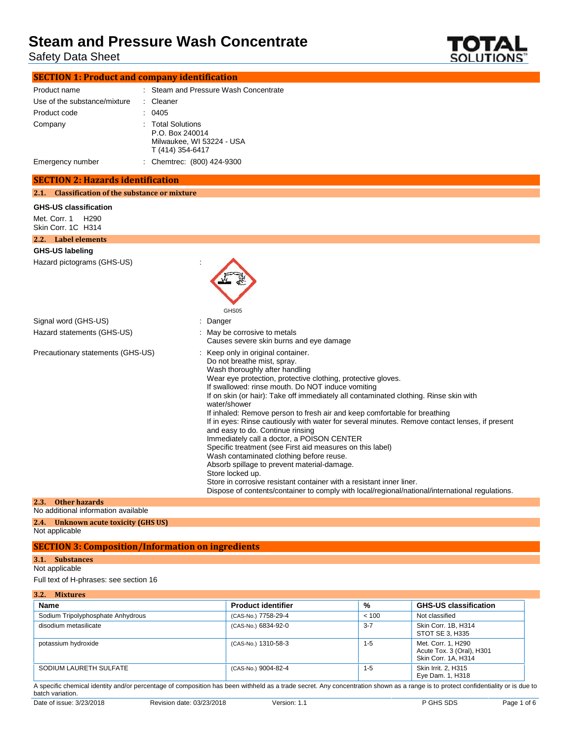Safety Data Sheet



| <b>SECTION 1: Product and company identification</b> |                                                                                       |
|------------------------------------------------------|---------------------------------------------------------------------------------------|
| Product name                                         | : Steam and Pressure Wash Concentrate                                                 |
| Use of the substance/mixture                         | : Cleaner                                                                             |
| Product code                                         | 0405                                                                                  |
| Company                                              | : Total Solutions<br>P.O. Box 240014<br>Milwaukee, WI 53224 - USA<br>T (414) 354-6417 |
| Emergency number                                     | : Chemtrec: (800) 424-9300                                                            |

### **SECTION 2: Hazards identification**

#### **2.1. Classification of the substance or mixture**

#### **GHS-US classification**

Met. Corr. 1 H290 Skin Corr. 1C H314

#### **2.2. Label elements**

### **GHS-US labeling**

Hazard pictograms (GHS-US) :



| Signal word (GHS-US)              | : Danger                                                                                                                                                                                                                                                                                                                                                                                                                                                                                                                                                                                                                                                                                                                                                                                                                                                                                                                                                  |
|-----------------------------------|-----------------------------------------------------------------------------------------------------------------------------------------------------------------------------------------------------------------------------------------------------------------------------------------------------------------------------------------------------------------------------------------------------------------------------------------------------------------------------------------------------------------------------------------------------------------------------------------------------------------------------------------------------------------------------------------------------------------------------------------------------------------------------------------------------------------------------------------------------------------------------------------------------------------------------------------------------------|
| Hazard statements (GHS-US)        | : May be corrosive to metals<br>Causes severe skin burns and eye damage                                                                                                                                                                                                                                                                                                                                                                                                                                                                                                                                                                                                                                                                                                                                                                                                                                                                                   |
| Precautionary statements (GHS-US) | : Keep only in original container.<br>Do not breathe mist, spray.<br>Wash thoroughly after handling<br>Wear eye protection, protective clothing, protective gloves.<br>If swallowed: rinse mouth. Do NOT induce vomiting<br>If on skin (or hair): Take off immediately all contaminated clothing. Rinse skin with<br>water/shower<br>If inhaled: Remove person to fresh air and keep comfortable for breathing<br>If in eyes: Rinse cautiously with water for several minutes. Remove contact lenses, if present<br>and easy to do. Continue rinsing<br>Immediately call a doctor, a POISON CENTER<br>Specific treatment (see First aid measures on this label)<br>Wash contaminated clothing before reuse.<br>Absorb spillage to prevent material-damage.<br>Store locked up.<br>Store in corrosive resistant container with a resistant inner liner.<br>Dispose of contents/container to comply with local/regional/national/international regulations. |

### **2.3. Other hazards**

No additional information available

**2.4. Unknown acute toxicity (GHS US)**

Not applicable

### **SECTION 3: Composition/Information on ingredients**

### **3.1. Substances**

Not applicable

Full text of H-phrases: see section 16

| 3.2. | <b>Mixtures</b> |
|------|-----------------|
|      |                 |

| <b>Name</b>                       | <b>Product identifier</b> | %       | <b>GHS-US classification</b>                                           |
|-----------------------------------|---------------------------|---------|------------------------------------------------------------------------|
| Sodium Tripolyphosphate Anhydrous | (CAS-No.) 7758-29-4       | < 100   | Not classified                                                         |
| disodium metasilicate             | (CAS-No.) 6834-92-0       | $3 - 7$ | Skin Corr. 1B, H314<br>STOT SE 3, H335                                 |
| potassium hydroxide               | (CAS-No.) 1310-58-3       | $1 - 5$ | Met. Corr. 1, H290<br>Acute Tox. 3 (Oral), H301<br>Skin Corr. 1A, H314 |
| SODIUM LAURETH SULFATE            | (CAS-No.) 9004-82-4       | $1 - 5$ | Skin Irrit. 2. H315<br>Eye Dam. 1, H318                                |

A specific chemical identity and/or percentage of composition has been withheld as a trade secret. Any concentration shown as a range is to protect confidentiality or is due to batch variation.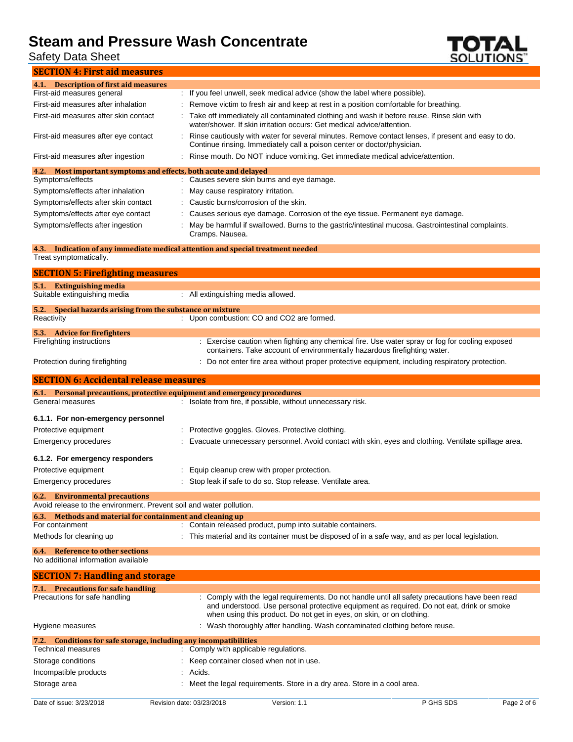Safety Data Sheet



| <b>SECTION 4: First aid measures</b>                                                                  |                                                                                                                                                                                              |
|-------------------------------------------------------------------------------------------------------|----------------------------------------------------------------------------------------------------------------------------------------------------------------------------------------------|
| 4.1. Description of first aid measures                                                                |                                                                                                                                                                                              |
| First-aid measures general                                                                            | : If you feel unwell, seek medical advice (show the label where possible).                                                                                                                   |
| First-aid measures after inhalation                                                                   | Remove victim to fresh air and keep at rest in a position comfortable for breathing.                                                                                                         |
| First-aid measures after skin contact                                                                 | Take off immediately all contaminated clothing and wash it before reuse. Rinse skin with<br>water/shower. If skin irritation occurs: Get medical advice/attention.                           |
| First-aid measures after eye contact                                                                  | Rinse cautiously with water for several minutes. Remove contact lenses, if present and easy to do.<br>Continue rinsing. Immediately call a poison center or doctor/physician.                |
| First-aid measures after ingestion                                                                    | Rinse mouth. Do NOT induce vomiting. Get immediate medical advice/attention.                                                                                                                 |
| Most important symptoms and effects, both acute and delayed<br>4.2.                                   |                                                                                                                                                                                              |
| Symptoms/effects                                                                                      | : Causes severe skin burns and eye damage.                                                                                                                                                   |
| Symptoms/effects after inhalation                                                                     | May cause respiratory irritation.                                                                                                                                                            |
| Symptoms/effects after skin contact                                                                   | Caustic burns/corrosion of the skin.                                                                                                                                                         |
| Symptoms/effects after eye contact                                                                    | Causes serious eye damage. Corrosion of the eye tissue. Permanent eye damage.                                                                                                                |
| Symptoms/effects after ingestion                                                                      | May be harmful if swallowed. Burns to the gastric/intestinal mucosa. Gastrointestinal complaints.<br>Cramps. Nausea.                                                                         |
| Treat symptomatically.                                                                                | 4.3. Indication of any immediate medical attention and special treatment needed                                                                                                              |
|                                                                                                       |                                                                                                                                                                                              |
| <b>SECTION 5: Firefighting measures</b>                                                               |                                                                                                                                                                                              |
| 5.1. Extinguishing media                                                                              |                                                                                                                                                                                              |
| Suitable extinguishing media                                                                          | : All extinguishing media allowed.                                                                                                                                                           |
| Special hazards arising from the substance or mixture<br>5.2.<br>Reactivity                           | : Upon combustion: CO and CO2 are formed.                                                                                                                                                    |
|                                                                                                       |                                                                                                                                                                                              |
| 5.3. Advice for fire fighters<br>Firefighting instructions                                            | : Exercise caution when fighting any chemical fire. Use water spray or fog for cooling exposed                                                                                               |
|                                                                                                       | containers. Take account of environmentally hazardous firefighting water.                                                                                                                    |
| Protection during firefighting                                                                        | : Do not enter fire area without proper protective equipment, including respiratory protection.                                                                                              |
|                                                                                                       |                                                                                                                                                                                              |
| <b>SECTION 6: Accidental release measures</b>                                                         |                                                                                                                                                                                              |
| 6.1. Personal precautions, protective equipment and emergency procedures                              |                                                                                                                                                                                              |
| General measures                                                                                      | : Isolate from fire, if possible, without unnecessary risk.                                                                                                                                  |
| 6.1.1. For non-emergency personnel                                                                    |                                                                                                                                                                                              |
|                                                                                                       |                                                                                                                                                                                              |
| Protective equipment<br>Emergency procedures                                                          | Protective goggles. Gloves. Protective clothing.<br>Evacuate unnecessary personnel. Avoid contact with skin, eyes and clothing. Ventilate spillage area.                                     |
|                                                                                                       |                                                                                                                                                                                              |
| 6.1.2. For emergency responders                                                                       |                                                                                                                                                                                              |
| Protective equipment                                                                                  | Equip cleanup crew with proper protection.                                                                                                                                                   |
| Emergency procedures                                                                                  | Stop leak if safe to do so. Stop release. Ventilate area.                                                                                                                                    |
| 6.2. Environmental precautions<br>Avoid release to the environment. Prevent soil and water pollution. |                                                                                                                                                                                              |
| 6.3. Methods and material for containment and cleaning up                                             |                                                                                                                                                                                              |
| For containment                                                                                       | : Contain released product, pump into suitable containers.                                                                                                                                   |
| Methods for cleaning up                                                                               | This material and its container must be disposed of in a safe way, and as per local legislation.                                                                                             |
| 6.4. Reference to other sections<br>No additional information available                               |                                                                                                                                                                                              |
| <b>SECTION 7: Handling and storage</b>                                                                |                                                                                                                                                                                              |
| 7.1. Precautions for safe handling                                                                    |                                                                                                                                                                                              |
| Precautions for safe handling                                                                         | : Comply with the legal requirements. Do not handle until all safety precautions have been read<br>and understood. Use personal protective equipment as required. Do not eat, drink or smoke |
| Hygiene measures                                                                                      | when using this product. Do not get in eyes, on skin, or on clothing.<br>: Wash thoroughly after handling. Wash contaminated clothing before reuse.                                          |
| 7.2. Conditions for safe storage, including any incompatibilities                                     |                                                                                                                                                                                              |
| <b>Technical measures</b>                                                                             | : Comply with applicable regulations.                                                                                                                                                        |
| Storage conditions                                                                                    | Keep container closed when not in use.                                                                                                                                                       |

Storage area : Meet the legal requirements. Store in a dry area. Store in a cool area.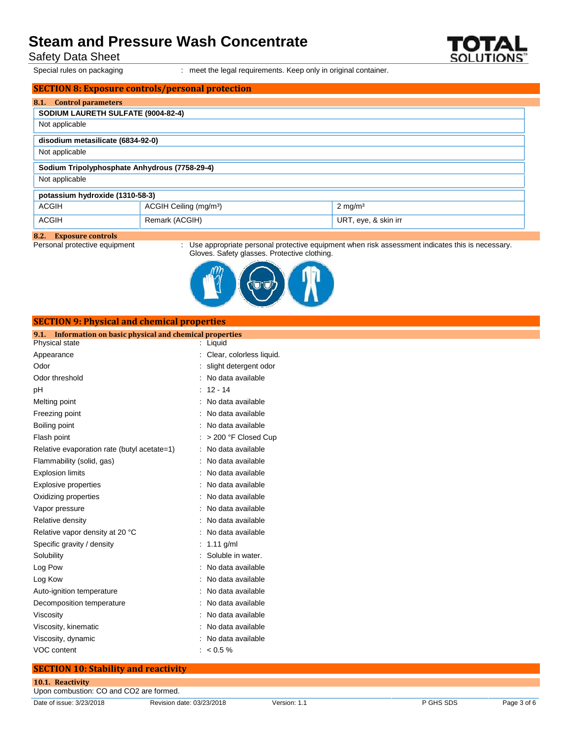Safety Data Sheet

Special rules on packaging : meet the legal requirements. Keep only in original container.

|                                               | <b>SECTION 8: Exposure controls/personal protection</b> |                      |  |
|-----------------------------------------------|---------------------------------------------------------|----------------------|--|
| <b>Control parameters</b><br>8.1.             |                                                         |                      |  |
| SODIUM LAURETH SULFATE (9004-82-4)            |                                                         |                      |  |
| Not applicable                                |                                                         |                      |  |
| disodium metasilicate (6834-92-0)             |                                                         |                      |  |
|                                               |                                                         |                      |  |
| Not applicable                                |                                                         |                      |  |
| Sodium Tripolyphosphate Anhydrous (7758-29-4) |                                                         |                      |  |
| Not applicable                                |                                                         |                      |  |
| potassium hydroxide (1310-58-3)               |                                                         |                      |  |
| <b>ACGIH</b>                                  | ACGIH Ceiling (mg/m <sup>3</sup> )                      | $2 \text{ mg/m}^3$   |  |
| <b>ACGIH</b>                                  | Remark (ACGIH)                                          | URT, eye, & skin irr |  |

# **8.2. Exposure controls**

: Use appropriate personal protective equipment when risk assessment indicates this is necessary. Gloves. Safety glasses. Protective clothing.



| Physical state                              | : Liquid                   |
|---------------------------------------------|----------------------------|
| Appearance                                  | : Clear, colorless liquid. |
| Odor                                        | : slight detergent odor    |
| Odor threshold                              | : No data available        |
| рH                                          | $: 12 - 14$                |
| Melting point                               | : No data available        |
| Freezing point                              | : No data available        |
| Boiling point                               | : No data available        |
| Flash point                                 | $:$ > 200 °F Closed Cup    |
| Relative evaporation rate (butyl acetate=1) | : No data available        |
| Flammability (solid, gas)                   | : No data available        |
| <b>Explosion limits</b>                     | : No data available        |
| Explosive properties                        | : No data available        |

**SECTION 9: Physical and chemical properties 9.1. Information on basic physical and chemical properties**

| <b>Explosive properties</b>     | No data available   |
|---------------------------------|---------------------|
| Oxidizing properties            | : No data available |
| Vapor pressure                  | : No data available |
| Relative density                | : No data available |
| Relative vapor density at 20 °C | : No data available |
| Specific gravity / density      | : 1.11 g/ml         |
| Solubility                      | : Soluble in water. |
| Log Pow                         | : No data available |
| Log Kow                         | : No data available |
| Auto-ignition temperature       | : No data available |
| Decomposition temperature       | : No data available |
| Viscosity                       | : No data available |
| Viscosity, kinematic            | : No data available |
| Viscosity, dynamic              | : No data available |
| VOC content                     | : $< 0.5 \%$        |

### **SECTION 10: Stability and reactivity**

| 10.1. Reactivity                        |
|-----------------------------------------|
| Upon combustion: CO and CO2 are formed. |

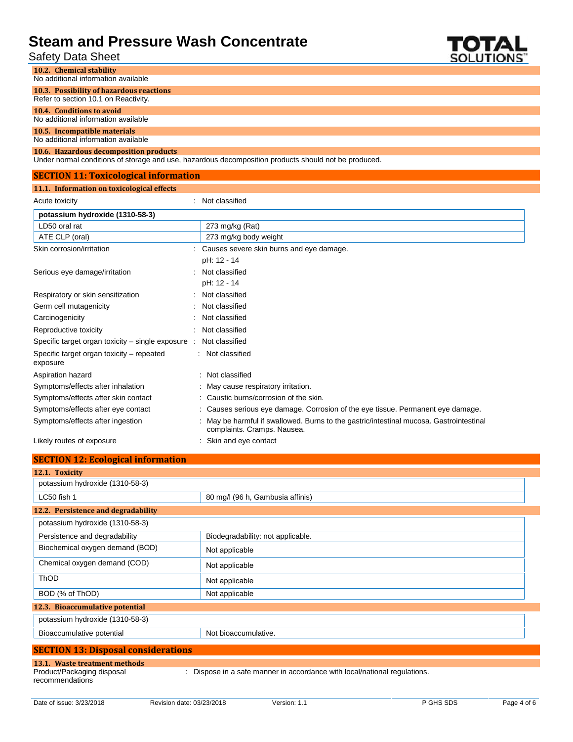### Safety Data Sheet



| Salely Dala Sheel                                                                |                                                                                                                      | SOLUTIONS |
|----------------------------------------------------------------------------------|----------------------------------------------------------------------------------------------------------------------|-----------|
| 10.2. Chemical stability                                                         |                                                                                                                      |           |
| No additional information available                                              |                                                                                                                      |           |
| 10.3. Possibility of hazardous reactions<br>Refer to section 10.1 on Reactivity. |                                                                                                                      |           |
| 10.4. Conditions to avoid                                                        |                                                                                                                      |           |
| No additional information available                                              |                                                                                                                      |           |
| 10.5. Incompatible materials<br>No additional information available              |                                                                                                                      |           |
| 10.6. Hazardous decomposition products                                           | Under normal conditions of storage and use, hazardous decomposition products should not be produced.                 |           |
| <b>SECTION 11: Toxicological information</b>                                     |                                                                                                                      |           |
| 11.1. Information on toxicological effects                                       |                                                                                                                      |           |
| Acute toxicity                                                                   | : Not classified                                                                                                     |           |
| potassium hydroxide (1310-58-3)                                                  |                                                                                                                      |           |
| LD50 oral rat                                                                    | 273 mg/kg (Rat)                                                                                                      |           |
| ATE CLP (oral)                                                                   | 273 mg/kg body weight                                                                                                |           |
| Skin corrosion/irritation                                                        | : Causes severe skin burns and eye damage.                                                                           |           |
|                                                                                  | pH: 12 - 14                                                                                                          |           |
| Serious eye damage/irritation                                                    | Not classified                                                                                                       |           |
|                                                                                  | pH: 12 - 14                                                                                                          |           |
| Respiratory or skin sensitization                                                | Not classified                                                                                                       |           |
| Germ cell mutagenicity                                                           | Not classified                                                                                                       |           |
| Carcinogenicity                                                                  | Not classified                                                                                                       |           |
| Reproductive toxicity                                                            | Not classified                                                                                                       |           |
| Specific target organ toxicity – single exposure :                               | Not classified                                                                                                       |           |
| Specific target organ toxicity - repeated<br>exposure                            | : Not classified                                                                                                     |           |
| Aspiration hazard                                                                | Not classified                                                                                                       |           |
| Symptoms/effects after inhalation                                                | May cause respiratory irritation.                                                                                    |           |
| Symptoms/effects after skin contact                                              | Caustic burns/corrosion of the skin.                                                                                 |           |
| Symptoms/effects after eye contact                                               | Causes serious eye damage. Corrosion of the eye tissue. Permanent eye damage.                                        |           |
| Symptoms/effects after ingestion                                                 | May be harmful if swallowed. Burns to the gastric/intestinal mucosa. Gastrointestinal<br>complaints. Cramps. Nausea. |           |

Likely routes of exposure **interpretate and example 2** Skin and eye contact

| <b>SECTION 12: Ecological information</b>  |                                   |
|--------------------------------------------|-----------------------------------|
| 12.1. Toxicity                             |                                   |
| potassium hydroxide (1310-58-3)            |                                   |
| LC50 fish 1                                | 80 mg/l (96 h, Gambusia affinis)  |
| 12.2. Persistence and degradability        |                                   |
| potassium hydroxide (1310-58-3)            |                                   |
| Persistence and degradability              | Biodegradability: not applicable. |
| Biochemical oxygen demand (BOD)            | Not applicable                    |
| Chemical oxygen demand (COD)               | Not applicable                    |
| <b>ThOD</b>                                | Not applicable                    |
| BOD (% of ThOD)                            | Not applicable                    |
| 12.3. Bioaccumulative potential            |                                   |
| potassium hydroxide (1310-58-3)            |                                   |
| Bioaccumulative potential                  | Not bioaccumulative.              |
| <b>SECTION 13: Disposal considerations</b> |                                   |
| 13.1. Waste treatment methods              |                                   |

### recommendations

Product/Packaging disposal

: Dispose in a safe manner in accordance with local/national regulations.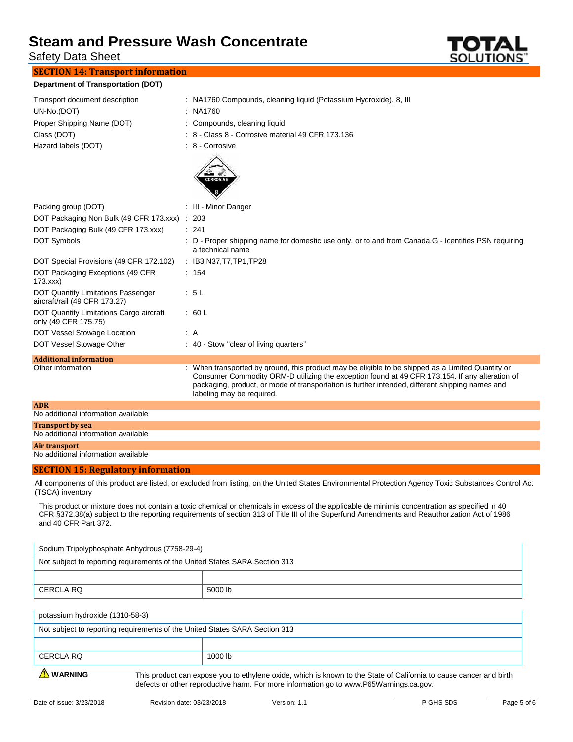Safety Data Sheet

### **SECTION 14: Transport information**

**Department of Transportation (DOT)**

| : NA1760 Compounds, cleaning liquid (Potassium Hydroxide), 8, III<br>Transport document description<br>UN-No.(DOT)<br>: NA1760<br>Proper Shipping Name (DOT)<br>: Compounds, cleaning liquid                                                                                                                                                           |
|--------------------------------------------------------------------------------------------------------------------------------------------------------------------------------------------------------------------------------------------------------------------------------------------------------------------------------------------------------|
|                                                                                                                                                                                                                                                                                                                                                        |
|                                                                                                                                                                                                                                                                                                                                                        |
|                                                                                                                                                                                                                                                                                                                                                        |
| : 8 - Class 8 - Corrosive material 49 CFR 173.136<br>Class (DOT)                                                                                                                                                                                                                                                                                       |
| Hazard labels (DOT)<br>: 8 - Corrosive                                                                                                                                                                                                                                                                                                                 |
| <b>CORROSIVE</b>                                                                                                                                                                                                                                                                                                                                       |
| : III - Minor Danger<br>Packing group (DOT)                                                                                                                                                                                                                                                                                                            |
| DOT Packaging Non Bulk (49 CFR 173.xxx)<br>: 203                                                                                                                                                                                                                                                                                                       |
| DOT Packaging Bulk (49 CFR 173.xxx)<br>: 241                                                                                                                                                                                                                                                                                                           |
| <b>DOT Symbols</b><br>: D - Proper shipping name for domestic use only, or to and from Canada, G - Identifies PSN requiring<br>a technical name                                                                                                                                                                                                        |
| DOT Special Provisions (49 CFR 172.102)<br>: IB3,N37,T7,TP1,TP28                                                                                                                                                                                                                                                                                       |
| DOT Packaging Exceptions (49 CFR<br>: 154<br>173.xxx                                                                                                                                                                                                                                                                                                   |
| DOT Quantity Limitations Passenger<br>: 5L<br>aircraft/rail (49 CFR 173.27)                                                                                                                                                                                                                                                                            |
| DOT Quantity Limitations Cargo aircraft<br>: 60 L<br>only (49 CFR 175.75)                                                                                                                                                                                                                                                                              |
| DOT Vessel Stowage Location<br>: A                                                                                                                                                                                                                                                                                                                     |
| DOT Vessel Stowage Other<br>: 40 - Stow "clear of living quarters"                                                                                                                                                                                                                                                                                     |
| <b>Additional information</b>                                                                                                                                                                                                                                                                                                                          |
| When transported by ground, this product may be eligible to be shipped as a Limited Quantity or<br>Other information<br>Consumer Commodity ORM-D utilizing the exception found at 49 CFR 173.154. If any alteration of<br>packaging, product, or mode of transportation is further intended, different shipping names and<br>labeling may be required. |
| <b>ADR</b><br>No additional information available                                                                                                                                                                                                                                                                                                      |
|                                                                                                                                                                                                                                                                                                                                                        |
| <b>Transport by sea</b><br>No additional information available                                                                                                                                                                                                                                                                                         |

#### **Air transport**

No additional information available

### **SECTION 15: Regulatory information**

All components of this product are listed, or excluded from listing, on the United States Environmental Protection Agency Toxic Substances Control Act (TSCA) inventory

This product or mixture does not contain a toxic chemical or chemicals in excess of the applicable de minimis concentration as specified in 40 CFR §372.38(a) subject to the reporting requirements of section 313 of Title III of the Superfund Amendments and Reauthorization Act of 1986 and 40 CFR Part 372.

| Sodium Tripolyphosphate Anhydrous (7758-29-4)                               |         |  |  |
|-----------------------------------------------------------------------------|---------|--|--|
| Not subject to reporting requirements of the United States SARA Section 313 |         |  |  |
|                                                                             |         |  |  |
| CERCLA RQ                                                                   | 5000 lb |  |  |
|                                                                             |         |  |  |
| potassium hydroxide (1310-58-3)                                             |         |  |  |
|                                                                             |         |  |  |

| Not subject to reporting requirements of the United States SARA Section 313 |         |  |
|-----------------------------------------------------------------------------|---------|--|
|                                                                             |         |  |
| CERCLA RQ                                                                   | 1000 lb |  |
|                                                                             |         |  |

WARNING This product can expose you to ethylene oxide, which is known to the State of California to cause cancer and birth defects or other reproductive harm. For more information go to www.P65Warnings.ca.gov.

**SOLUTIONS**